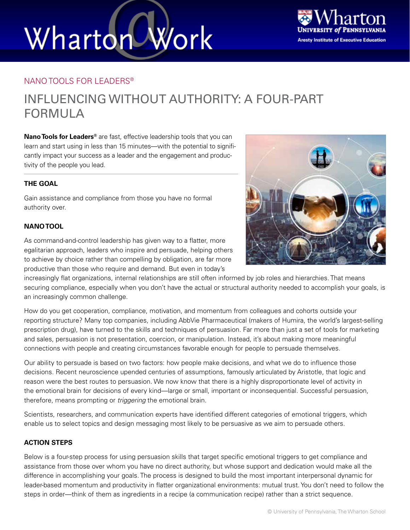# Wharton Work



#### NANO TOOLS FOR LEADERS®

### INFLUENCING WITHOUT AUTHORITY: A FOUR-PART FORMULA

**Nano Tools for Leaders®** are fast, effective leadership tools that you can learn and start using in less than 15 minutes—with the potential to significantly impact your success as a leader and the engagement and productivity of the people you lead.

#### **THE GOAL**

Gain assistance and compliance from those you have no formal authority over.

#### **NANO TOOL**



As command-and-control leadership has given way to a flatter, more egalitarian approach, leaders who inspire and persuade, helping others to achieve by choice rather than compelling by obligation, are far more productive than those who require and demand. But even in today's

increasingly flat organizations, internal relationships are still often informed by job roles and hierarchies. That means securing compliance, especially when you don't have the actual or structural authority needed to accomplish your goals, is an increasingly common challenge.

How do you get cooperation, compliance, motivation, and momentum from colleagues and cohorts outside your reporting structure? Many top companies, including AbbVie Pharmaceutical (makers of Humira, the world's largest-selling prescription drug), have turned to the skills and techniques of persuasion. Far more than just a set of tools for marketing and sales, persuasion is not presentation, coercion, or manipulation. Instead, it's about making more meaningful connections with people and creating circumstances favorable enough for people to persuade themselves.

Our ability to persuade is based on two factors: how people make decisions, and what we do to influence those decisions. Recent neuroscience upended centuries of assumptions, famously articulated by Aristotle, that logic and reason were the best routes to persuasion. We now know that there is a highly disproportionate level of activity in the emotional brain for decisions of every kind—large or small, important or inconsequential. Successful persuasion, therefore, means prompting or *triggering* the emotional brain.

Scientists, researchers, and communication experts have identified different categories of emotional triggers, which enable us to select topics and design messaging most likely to be persuasive as we aim to persuade others.

#### **ACTION STEPS**

Below is a four-step process for using persuasion skills that target specific emotional triggers to get compliance and assistance from those over whom you have no direct authority, but whose support and dedication would make all the difference in accomplishing your goals. The process is designed to build the most important interpersonal dynamic for leader-based momentum and productivity in flatter organizational environments: mutual trust. You don't need to follow the steps in order—think of them as ingredients in a recipe (a communication recipe) rather than a strict sequence.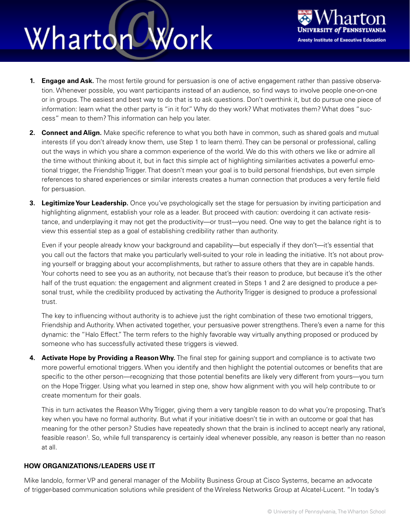## Wharton Work



- **1. Engage and Ask.** The most fertile ground for persuasion is one of active engagement rather than passive observation. Whenever possible, you want participants instead of an audience, so find ways to involve people one-on-one or in groups. The easiest and best way to do that is to ask questions. Don't overthink it, but do pursue one piece of information: learn what the other party is "in it for." Why do they work? What motivates them? What does "success" mean to them? This information can help you later.
- **2. Connect and Align.** Make specific reference to what you both have in common, such as shared goals and mutual interests (if you don't already know them, use Step 1 to learn them). They can be personal or professional, calling out the ways in which you share a common experience of the world. We do this with others we like or admire all the time without thinking about it, but in fact this simple act of highlighting similarities activates a powerful emotional trigger, the Friendship Trigger. That doesn't mean your goal is to build personal friendships, but even simple references to shared experiences or similar interests creates a human connection that produces a very fertile field for persuasion.
- **3. Legitimize Your Leadership.** Once you've psychologically set the stage for persuasion by inviting participation and highlighting alignment, establish your role as a leader. But proceed with caution: overdoing it can activate resistance, and underplaying it may not get the productivity—or trust—you need. One way to get the balance right is to view this essential step as a goal of establishing credibility rather than authority.

Even if your people already know your background and capability—but especially if they don't—it's essential that you call out the factors that make you particularly well-suited to your role in leading the initiative. It's not about proving yourself or bragging about your accomplishments, but rather to assure others that they are in capable hands. Your cohorts need to see you as an authority, not because that's their reason to produce, but because it's the other half of the trust equation: the engagement and alignment created in Steps 1 and 2 are designed to produce a personal trust, while the credibility produced by activating the Authority Trigger is designed to produce a professional trust.

The key to influencing without authority is to achieve just the right combination of these two emotional triggers, Friendship and Authority. When activated together, your persuasive power strengthens. There's even a name for this dynamic: the "Halo Effect." The term refers to the highly favorable way virtually anything proposed or produced by someone who has successfully activated these triggers is viewed.

**4. Activate Hope by Providing a Reason Why.** The final step for gaining support and compliance is to activate two more powerful emotional triggers. When you identify and then highlight the potential outcomes or benefits that are specific to the other person—recognizing that those potential benefits are likely very different from yours—you turn on the Hope Trigger. Using what you learned in step one, show how alignment with you will help contribute to or create momentum for their goals.

This in turn activates the Reason Why Trigger, giving them a very tangible reason to do what you're proposing. That's key when you have no formal authority. But what if your initiative doesn't tie in with an outcome or goal that has meaning for the other person? Studies have repeatedly shown that the brain is inclined to accept nearly any rational, feasible reason<sup>1</sup>. So, while full transparency is certainly ideal whenever possible, any reason is better than no reason at all.

#### **HOW ORGANIZATIONS/LEADERS USE IT**

Mike Iandolo, former VP and general manager of the Mobility Business Group at Cisco Systems, became an advocate of trigger-based communication solutions while president of the Wireless Networks Group at Alcatel-Lucent. "In today's